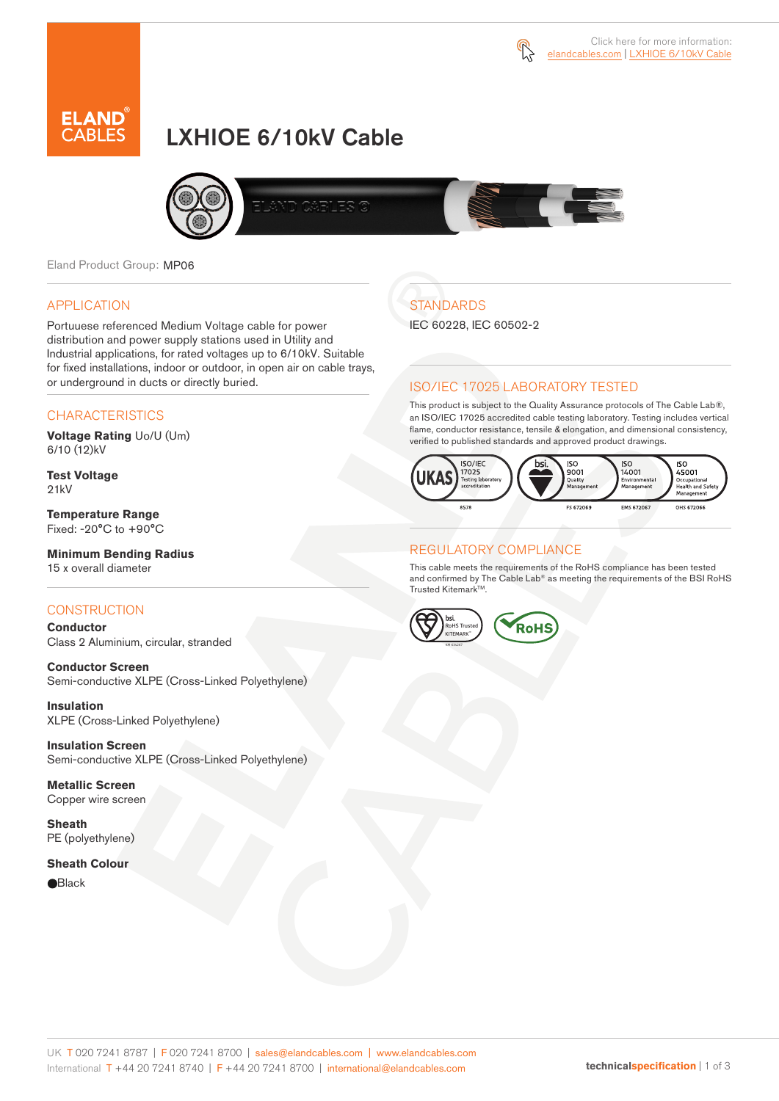



# LXHIOE 6/10kV Cable



Eland Product Group: MP06

#### APPLICATION

Portuuese referenced Medium Voltage cable for power distribution and power supply stations used in Utility and Industrial applications, for rated voltages up to 6/10kV. Suitable for fixed installations, indoor or outdoor, in open air on cable trays, or underground in ducts or directly buried.

#### **CHARACTERISTICS**

**Voltage Rating** Uo/U (Um) 6/10 (12)kV

**Test Voltage** 21kV

**Temperature Range** Fixed: -20°C to +90°C

**Minimum Bending Radius** 15 x overall diameter

#### **CONSTRUCTION**

**Conductor**  Class 2 Aluminium, circular, stranded

**Conductor Screen** Semi-conductive XLPE (Cross-Linked Polyethylene)

**Insulation** XLPE (Cross-Linked Polyethylene)

**Insulation Screen** Semi-conductive XLPE (Cross-Linked Polyethylene)

**Metallic Screen**  Copper wire screen

**Sheath** PE (polyethylene)

#### **Sheath Colour**

**e**Black

# **STANDARDS**

IEC 60228, IEC 60502-2

#### ISO/IEC 17025 LABORATORY TESTED

This product is subject to the Quality Assurance protocols of The Cable Lab®, an ISO/IEC 17025 accredited cable testing laboratory. Testing includes vertical flame, conductor resistance, tensile & elongation, and dimensional consistency, verified to published standards and approved product drawings.



#### REGULATORY COMPLIANCE

This cable meets the requirements of the RoHS compliance has been tested and confirmed by The Cable Lab® as meeting the requirements of the BSI RoHS Trusted Kitemark™.



UK T 020 7241 8787 | F 020 7241 8700 | sales@elandcables.com | www.elandcables.com International T +44 20 7241 8740 | F +44 20 7241 8700 | international@elandcables.com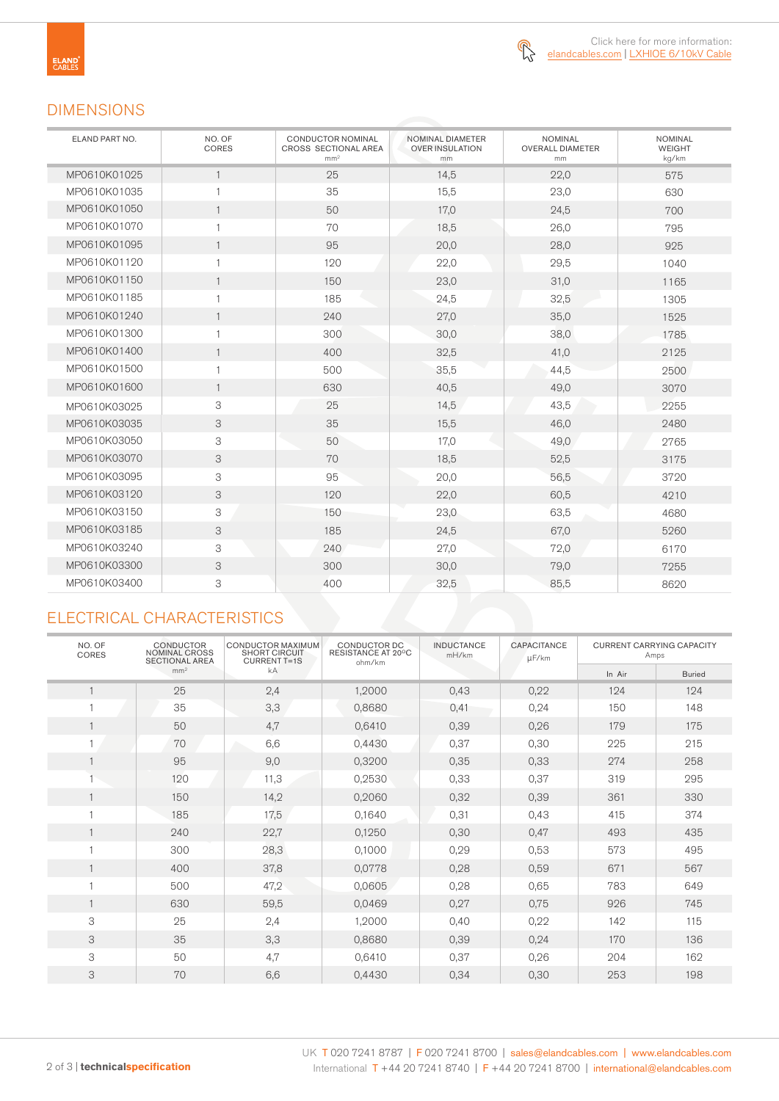

### DIMENSIONS

| ELAND PART NO. | NO. OF<br>CORES | <b>CONDUCTOR NOMINAL</b><br>CROSS SECTIONAL AREA<br>mm <sup>2</sup> | NOMINAL DIAMETER<br><b>OVER INSULATION</b><br>mm | <b>NOMINAL</b><br><b>OVERALL DIAMETER</b><br>mm | <b>NOMINAL</b><br><b>WEIGHT</b><br>kg/km |
|----------------|-----------------|---------------------------------------------------------------------|--------------------------------------------------|-------------------------------------------------|------------------------------------------|
| MP0610K01025   | $\mathbf{1}$    | 25                                                                  | 14,5                                             | 22,0                                            | 575                                      |
| MP0610K01035   | $\mathbf{1}$    | 35                                                                  | 15,5                                             | 23,0                                            | 630                                      |
| MP0610K01050   | $\mathbf{1}$    | 50                                                                  | 17,0                                             | 24,5                                            | 700                                      |
| MP0610K01070   | $\mathbf{1}$    | 70                                                                  | 18,5                                             | 26,0                                            | 795                                      |
| MP0610K01095   | $\mathbf{1}$    | 95                                                                  | 20,0                                             | 28,0                                            | 925                                      |
| MP0610K01120   | $\mathbf{1}$    | 120                                                                 | 22,0                                             | 29,5                                            | 1040                                     |
| MP0610K01150   | $\mathbf{1}$    | 150                                                                 | 23,0                                             | 31,0                                            | 1165                                     |
| MP0610K01185   | $\mathbf{1}$    | 185                                                                 | 24,5                                             | 32,5                                            | 1305                                     |
| MP0610K01240   | $\mathbf{1}$    | 240                                                                 | 27,0                                             | 35,0                                            | 1525                                     |
| MP0610K01300   | $\mathbf{1}$    | 300                                                                 | 30,0                                             | 38,0                                            | 1785                                     |
| MP0610K01400   | $\overline{1}$  | 400                                                                 | 32,5                                             | 41,0                                            | 2125                                     |
| MP0610K01500   | $\mathbf{1}$    | 500                                                                 | 35,5                                             | 44,5                                            | 2500                                     |
| MP0610K01600   | $\mathbf{1}$    | 630                                                                 | 40,5                                             | 49,0                                            | 3070                                     |
| MP0610K03025   | 3               | 25                                                                  | 14,5                                             | 43,5                                            | 2255                                     |
| MP0610K03035   | 3               | 35                                                                  | 15,5                                             | 46,0                                            | 2480                                     |
| MP0610K03050   | 3               | 50                                                                  | 17,0                                             | 49,0                                            | 2765                                     |
| MP0610K03070   | 3               | 70                                                                  | 18,5                                             | 52,5                                            | 3175                                     |
| MP0610K03095   | 3               | 95                                                                  | 20,0                                             | 56,5                                            | 3720                                     |
| MP0610K03120   | 3               | 120                                                                 | 22,0                                             | 60,5                                            | 4210                                     |
| MP0610K03150   | 3               | 150                                                                 | 23,0                                             | 63,5                                            | 4680                                     |
| MP0610K03185   | 3               | 185                                                                 | 24,5                                             | 67,0                                            | 5260                                     |
| MP0610K03240   | 3               | 240                                                                 | 27,0                                             | 72,0                                            | 6170                                     |
| MP0610K03300   | 3               | 300                                                                 | 30,0                                             | 79,0                                            | 7255                                     |
| MP0610K03400   | 3               | 400                                                                 | 32,5                                             | 85,5                                            | 8620                                     |

## ELECTRICAL CHARACTERISTICS

| NO. OF<br>CORES | <b>CONDUCTOR</b><br><b>NOMINAL CROSS</b><br><b>SECTIONAL AREA</b> | CONDUCTOR MAXIMUM<br><b>SHORT CIRCUIT</b><br><b>CURRENT T=1S</b> | CONDUCTOR DC<br>RESISTANCE AT 20°C<br>ohm/km | <b>INDUCTANCE</b><br>mH/km | <b>CAPACITANCE</b><br>µF/km | <b>CURRENT CARRYING CAPACITY</b><br>Amps |               |
|-----------------|-------------------------------------------------------------------|------------------------------------------------------------------|----------------------------------------------|----------------------------|-----------------------------|------------------------------------------|---------------|
|                 | mm <sup>2</sup>                                                   | kA                                                               |                                              |                            |                             | In Air                                   | <b>Buried</b> |
|                 | 25                                                                | 2,4                                                              | 1,2000                                       | 0,43                       | 0,22                        | 124                                      | 124           |
|                 | 35                                                                | 3,3                                                              | 0,8680                                       | 0,41                       | 0,24                        | 150                                      | 148           |
|                 | 50                                                                | 4,7                                                              | 0,6410                                       | 0,39                       | 0,26                        | 179                                      | 175           |
|                 | 70                                                                | 6,6                                                              | 0,4430                                       | 0,37                       | 0,30                        | 225                                      | 215           |
|                 | 95                                                                | 9,0                                                              | 0,3200                                       | 0,35                       | 0,33                        | 274                                      | 258           |
|                 | 120                                                               | 11,3                                                             | 0,2530                                       | 0,33                       | 0,37                        | 319                                      | 295           |
|                 | 150                                                               | 14,2                                                             | 0,2060                                       | 0,32                       | 0,39                        | 361                                      | 330           |
|                 | 185                                                               | 17,5                                                             | 0,1640                                       | 0,31                       | 0,43                        | 415                                      | 374           |
|                 | 240                                                               | 22,7                                                             | 0,1250                                       | 0,30                       | 0,47                        | 493                                      | 435           |
|                 | 300                                                               | 28,3                                                             | 0,1000                                       | 0,29                       | 0,53                        | 573                                      | 495           |
|                 | 400                                                               | 37,8                                                             | 0,0778                                       | 0,28                       | 0,59                        | 671                                      | 567           |
|                 | 500                                                               | 47,2                                                             | 0,0605                                       | 0,28                       | 0,65                        | 783                                      | 649           |
|                 | 630                                                               | 59,5                                                             | 0,0469                                       | 0,27                       | 0,75                        | 926                                      | 745           |
| 3               | 25                                                                | 2,4                                                              | 1,2000                                       | 0,40                       | 0,22                        | 142                                      | 115           |
| 3               | 35                                                                | 3,3                                                              | 0,8680                                       | 0,39                       | 0,24                        | 170                                      | 136           |
| 3               | 50                                                                | 4,7                                                              | 0,6410                                       | 0,37                       | 0,26                        | 204                                      | 162           |
| 3               | 70                                                                | 6,6                                                              | 0,4430                                       | 0,34                       | 0,30                        | 253                                      | 198           |